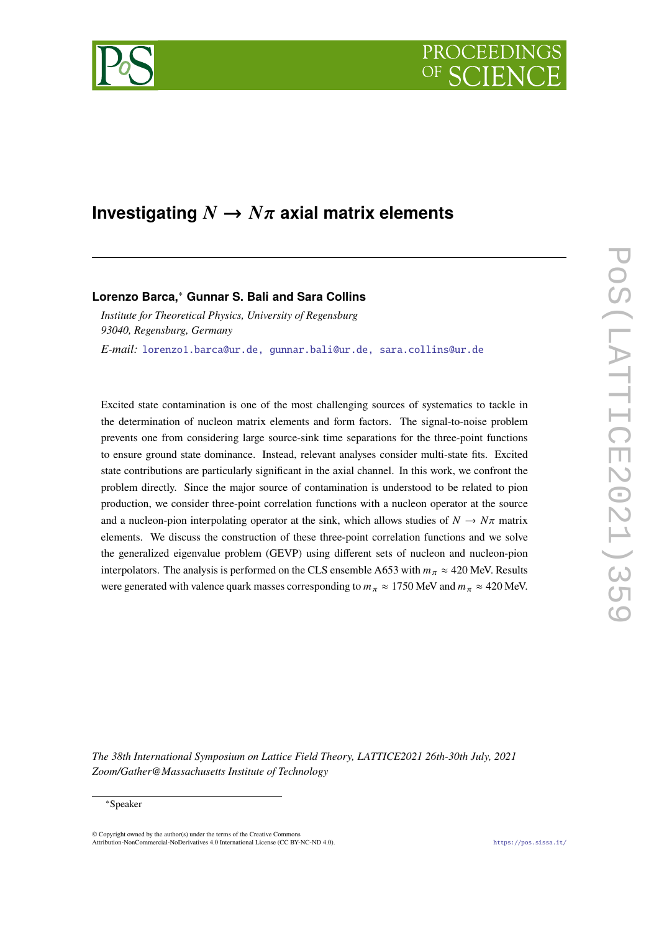



# Investigating  $N \to N\pi$  axial matrix elements

# **Lorenzo Barca,**<sup>∗</sup> **Gunnar S. Bali and Sara Collins**

*Institute for Theoretical Physics, University of Regensburg 93040, Regensburg, Germany E-mail:* [lorenzo1.barca@ur.de, gunnar.bali@ur.de, sara.collins@ur.de](mailto:lorenzo1.barca@ur.de, gunnar.bali@ur.de, sara.collins@ur.de)

Excited state contamination is one of the most challenging sources of systematics to tackle in the determination of nucleon matrix elements and form factors. The signal-to-noise problem prevents one from considering large source-sink time separations for the three-point functions to ensure ground state dominance. Instead, relevant analyses consider multi-state fits. Excited state contributions are particularly significant in the axial channel. In this work, we confront the problem directly. Since the major source of contamination is understood to be related to pion production, we consider three-point correlation functions with a nucleon operator at the source and a nucleon-pion interpolating operator at the sink, which allows studies of  $N \to N\pi$  matrix elements. We discuss the construction of these three-point correlation functions and we solve

the generalized eigenvalue problem (GEVP) using different sets of nucleon and nucleon-pion interpolators. The analysis is performed on the CLS ensemble A653 with  $m_{\pi} \approx 420$  MeV. Results were generated with valence quark masses corresponding to  $m_{\pi} \approx 1750$  MeV and  $m_{\pi} \approx 420$  MeV.

#### <sup>∗</sup>Speaker

 $\odot$  Copyright owned by the author(s) under the terms of the Creative Common Attribution-NonCommercial-NoDerivatives 4.0 International License (CC BY-NC-ND 4.0). <https://pos.sissa.it/>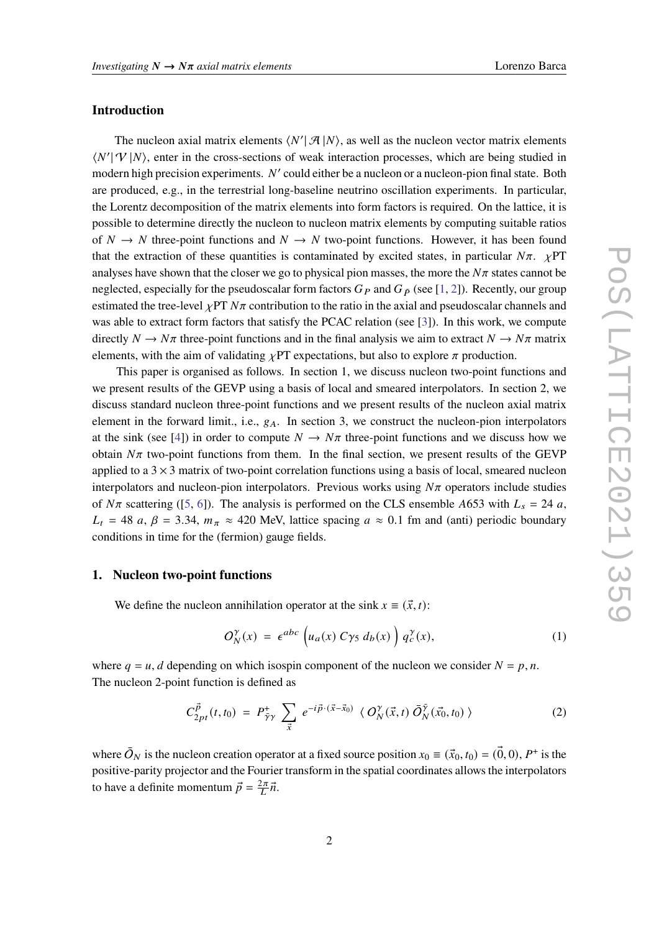# **Introduction**

The nucleon axial matrix elements  $\langle N' | \mathcal{A} | N \rangle$ , as well as the nucleon vector matrix elements  $\langle N' | V | N \rangle$ , enter in the cross-sections of weak interaction processes, which are being studied in modern high precision experiments. N' could either be a nucleon or a nucleon-pion final state. Both are produced, e.g., in the terrestrial long-baseline neutrino oscillation experiments. In particular, the Lorentz decomposition of the matrix elements into form factors is required. On the lattice, it is possible to determine directly the nucleon to nucleon matrix elements by computing suitable ratios of  $N \to N$  three-point functions and  $N \to N$  two-point functions. However, it has been found that the extraction of these quantities is contaminated by excited states, in particular  $N\pi$ .  $\gamma$ PT analyses have shown that the closer we go to physical pion masses, the more the  $N\pi$  states cannot be neglected, especially for the pseudoscalar form factors  $G_P$  and  $G_{\tilde{P}}$  (see [\[1,](#page-8-0) [2\]](#page-8-1)). Recently, our group estimated the tree-level  $\chi$ PT  $N\pi$  contribution to the ratio in the axial and pseudoscalar channels and was able to extract form factors that satisfy the PCAC relation (see [\[3\]](#page-8-2)). In this work, we compute directly  $N \to N\pi$  three-point functions and in the final analysis we aim to extract  $N \to N\pi$  matrix elements, with the aim of validating  $\chi$ PT expectations, but also to explore  $\pi$  production.

This paper is organised as follows. In section 1, we discuss nucleon two-point functions and we present results of the GEVP using a basis of local and smeared interpolators. In section 2, we discuss standard nucleon three-point functions and we present results of the nucleon axial matrix element in the forward limit., i.e.,  $g_A$ . In section 3, we construct the nucleon-pion interpolators at the sink (see [\[4\]](#page-8-3)) in order to compute  $N \to N\pi$  three-point functions and we discuss how we obtain  $N\pi$  two-point functions from them. In the final section, we present results of the GEVP applied to a  $3 \times 3$  matrix of two-point correlation functions using a basis of local, smeared nucleon interpolators and nucleon-pion interpolators. Previous works using  $N\pi$  operators include studies of  $N\pi$  scattering ([\[5,](#page-8-4) [6\]](#page-8-5)). The analysis is performed on the CLS ensemble A653 with  $L_s = 24 a$ ,  $L_t = 48 a, \beta = 3.34, m_\pi \approx 420$  MeV, lattice spacing  $a \approx 0.1$  fm and (anti) periodic boundary conditions in time for the (fermion) gauge fields.

#### **1. Nucleon two-point functions**

We define the nucleon annihilation operator at the sink  $x \equiv (\vec{x}, t)$ :

$$
O_N^{\gamma}(x) = \epsilon^{abc} \left( u_a(x) C \gamma_5 d_b(x) \right) q_c^{\gamma}(x), \tag{1}
$$

where  $q = u$ , *d* depending on which isospin component of the nucleon we consider  $N = p, n$ . The nucleon 2-point function is defined as

<span id="page-1-0"></span>
$$
C_{2pt}^{\vec{p}}(t,t_0) = P_{\bar{\gamma}\gamma}^+ \sum_{\vec{x}} e^{-i\vec{p}\cdot(\vec{x}-\vec{x}_0)} \langle O_N^{\gamma}(\vec{x},t) \, \bar{O}_N^{\bar{\gamma}}(\vec{x}_0,t_0) \,\rangle \tag{2}
$$

where  $\bar{O}_N$  is the nucleon creation operator at a fixed source position  $x_0 \equiv (\vec{x}_0, t_0) = (\vec{0}, 0), P^+$  is the positive-parity projector and the Fourier transform in the spatial coordinates allows the interpolators to have a definite momentum  $\vec{p} = \frac{2\pi}{L}\vec{n}$ .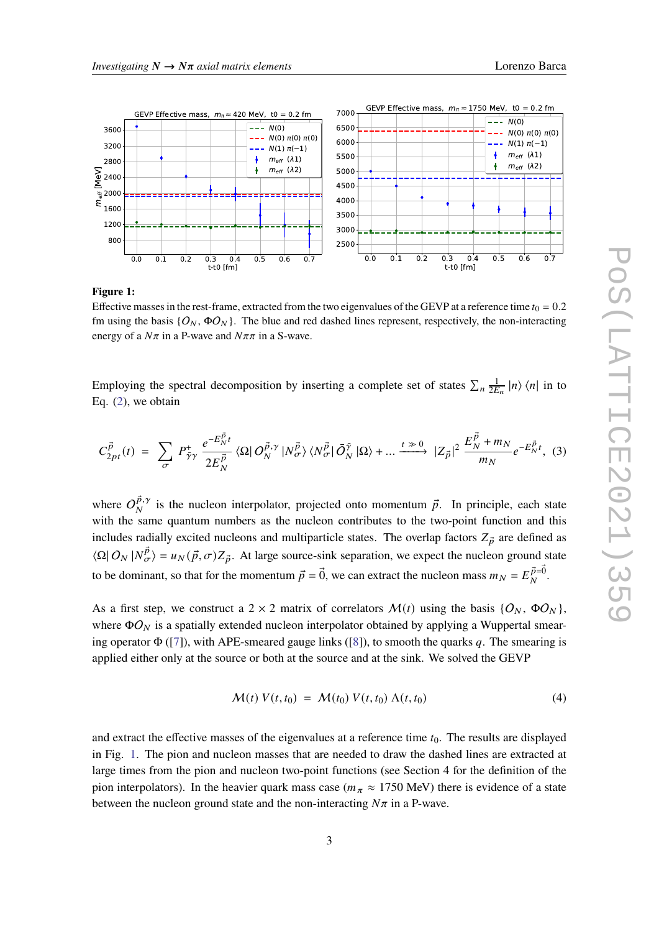<span id="page-2-0"></span>

#### **Figure 1:**

Effective masses in the rest-frame, extracted from the two eigenvalues of the GEVP at a reference time  $t_0 = 0.2$ fm using the basis  $\{O_N, \Phi O_N\}$ . The blue and red dashed lines represent, respectively, the non-interacting energy of a  $N\pi$  in a P-wave and  $N\pi\pi$  in a S-wave.

Employing the spectral decomposition by inserting a complete set of states  $\sum_{n} \frac{1}{2E_n} |n\rangle \langle n|$  in to Eq. [\(2\)](#page-1-0), we obtain

<span id="page-2-1"></span>
$$
C_{2pt}^{\vec{p}}(t) \;=\; \sum_{\sigma} \; P_{\bar{\gamma}\gamma}^+ \; \frac{e^{-E_N^{\vec{p}}t}}{2E_N^{\vec{p}}} \; \langle \Omega | \, O_N^{\vec{p},\gamma} \, | N_\sigma^{\vec{p}} \rangle \, \langle N_\sigma^{\vec{p}} | \, \bar{O}_N^{\bar{\gamma}} \, | \Omega \rangle + ... \xrightarrow{t \;\gg\; 0} \; |Z_{\vec{p}}|^2 \; \frac{E_N^{\vec{p}}+m_N}{m_N} e^{-E_N^{\vec{p}}t}, \eqno(3)
$$

where  $O_N^{\vec{p},\gamma}$  $\vec{p}$ , $\gamma$  is the nucleon interpolator, projected onto momentum  $\vec{p}$ . In principle, each state with the same quantum numbers as the nucleon contributes to the two-point function and this includes radially excited nucleons and multiparticle states. The overlap factors  $Z_{\vec{n}}$  are defined as  $\langle \Omega | O_N | N_{\sigma}^{\vec{p}} \rangle = u_N(\vec{p}, \sigma) Z_{\vec{p}}$ . At large source-sink separation, we expect the nucleon ground state to be dominant, so that for the momentum  $\vec{p} = \vec{0}$ , we can extract the nucleon mass  $m_N = E_N^{\vec{p} = \vec{0}}$ .

As a first step, we construct a 2 × 2 matrix of correlators  $\mathcal{M}(t)$  using the basis { $O_N$ ,  $\Phi O_N$ }, where  $\Phi O_N$  is a spatially extended nucleon interpolator obtained by applying a Wuppertal smearing operator  $\Phi$  ([\[7\]](#page-8-6)), with APE-smeared gauge links ([\[8\]](#page-8-7)), to smooth the quarks q. The smearing is applied either only at the source or both at the source and at the sink. We solved the GEVP

$$
\mathcal{M}(t) V(t, t_0) = \mathcal{M}(t_0) V(t, t_0) \Lambda(t, t_0)
$$
\n(4)

and extract the effective masses of the eigenvalues at a reference time  $t_0$ . The results are displayed in Fig. [1.](#page-2-0) The pion and nucleon masses that are needed to draw the dashed lines are extracted at large times from the pion and nucleon two-point functions (see Section 4 for the definition of the pion interpolators). In the heavier quark mass case ( $m<sub>\pi</sub> \approx 1750$  MeV) there is evidence of a state between the nucleon ground state and the non-interacting  $N\pi$  in a P-wave.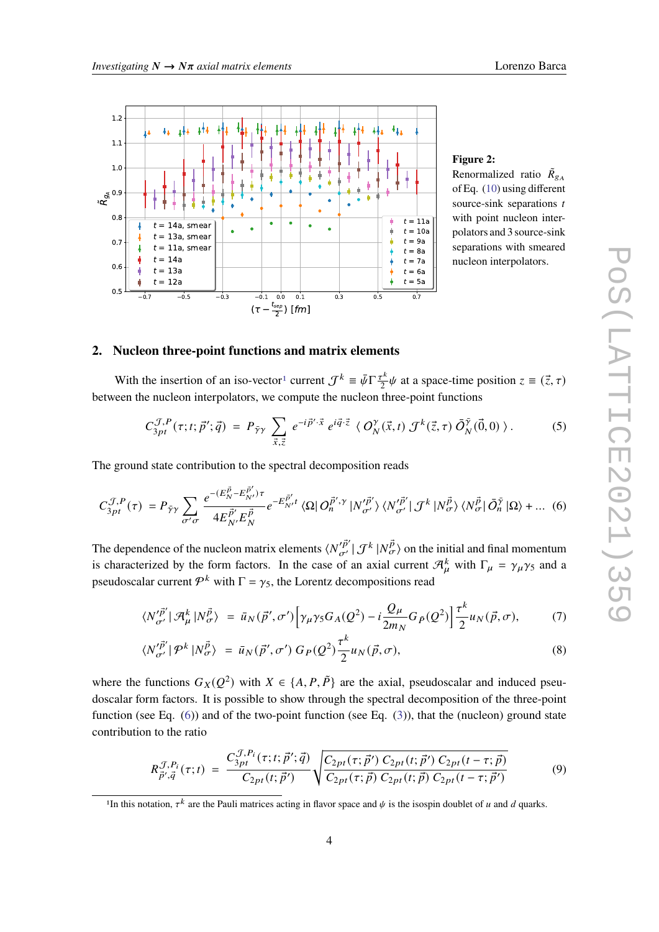<span id="page-3-2"></span>

#### **Figure 2:**

<span id="page-3-1"></span>Renormalized ratio  $\tilde{R}_{g_A}$ of Eq. [\(10\)](#page-4-0) using different source-sink separations  $t$ with point nucleon interpolators and 3 source-sink separations with smeared nucleon interpolators.

# **2. Nucleon three-point functions and matrix elements**

With the insertion of an iso-vector<sup>[1](#page-3-0)</sup> current  $\mathcal{J}^k = \bar{\psi} \Gamma \frac{\tau^k}{2}$  $\frac{\tau^k}{2}\psi$  at a space-time position  $z \equiv (\vec{z}, \tau)$ between the nucleon interpolators, we compute the nucleon three-point functions

<span id="page-3-6"></span>
$$
C_{3pt}^{\mathcal{J},P}(\tau;t;\vec{p}';\vec{q}) = P_{\tilde{\gamma}\gamma} \sum_{\vec{x},\vec{z}} e^{-i\vec{p}'\cdot\vec{x}} e^{i\vec{q}\cdot\vec{z}} \langle O_N^{\gamma}(\vec{x},t) \mathcal{J}^k(\vec{z},\tau) \bar{O}_N^{\tilde{\gamma}}(\vec{0},0) \rangle. \tag{5}
$$

The ground state contribution to the spectral decomposition reads

$$
C_{3pt}^{\mathcal{J},P}(\tau) = P_{\bar{\gamma}\gamma} \sum_{\sigma'\sigma} \frac{e^{-(E_N^{\vec{p}} - E_{N'}^{\vec{p}'})\tau}}{4E_{N'}^{\vec{p}'}E_N^{\vec{p}}} e^{-E_{N'}^{\vec{p}'}t} \langle \Omega | O_n^{\vec{p}',\gamma} | N_{\sigma'}'^{\vec{p}'} \rangle \langle N_{\sigma'}'^{\vec{p}'} | \mathcal{J}^k | N_{\sigma}^{\vec{p}} \rangle \langle N_{\sigma}^{\vec{p}} | \bar{O}_n^{\bar{\gamma}} | \Omega \rangle + \dots (6)
$$

The dependence of the nucleon matrix elements  $\langle N_{\sigma'}^{i\vec{p}'}\rangle$  $\int_{\sigma'}^{\prime} |\mathcal{J}^k| N_{\sigma}^{\vec{p}}$  on the initial and final momentum is characterized by the form factors. In the case of an axial current  $\mathcal{A}^k_\mu$  with  $\Gamma_\mu = \gamma_\mu \gamma_5$  and a pseudoscalar current  $\mathcal{P}^k$  with  $\Gamma = \gamma_5$ , the Lorentz decompositions read

<span id="page-3-4"></span>
$$
\langle N_{\sigma'}^{\prime\vec{p}'}|\mathcal{A}^k_\mu|N_{\sigma}^{\vec{p}}\rangle\ =\ \bar{u}_N(\vec{p}',\sigma')\bigg[\gamma_\mu\gamma_5G_A(Q^2)-i\frac{\mathcal{Q}_\mu}{2m_N}G_{\tilde{P}}(Q^2)\bigg]\frac{\tau^k}{2}u_N(\vec{p},\sigma),\tag{7}
$$

<span id="page-3-5"></span>
$$
\langle N_{\sigma'}^{\prime \vec{p}'} | \mathcal{P}^k | N_{\sigma}^{\vec{p}} \rangle = \bar{u}_N(\vec{p}', \sigma') G_P(Q^2) \frac{\tau^k}{2} u_N(\vec{p}, \sigma), \tag{8}
$$

where the functions  $G_X(Q^2)$  with  $X \in \{A, P, \tilde{P}\}\$  are the axial, pseudoscalar and induced pseudoscalar form factors. It is possible to show through the spectral decomposition of the three-point function (see Eq. [\(6\)](#page-3-1)) and of the two-point function (see Eq. [\(3\)](#page-2-1)), that the (nucleon) ground state contribution to the ratio

<span id="page-3-3"></span>
$$
R_{\vec{p}',\vec{q}}^{\mathcal{J},P_i}(\tau;t) = \frac{C_{3pt}^{\mathcal{J},P_i}(\tau;t;\vec{p}';\vec{q})}{C_{2pt}(t;\vec{p}')}\sqrt{\frac{C_{2pt}(\tau;\vec{p}')C_{2pt}(t;\vec{p}')C_{2pt}(t-\tau;\vec{p})}{C_{2pt}(t;\vec{p})C_{2pt}(t;\vec{p})C_{2pt}(t-\tau;\vec{p}')}} \tag{9}
$$

<span id="page-3-0"></span><sup>&</sup>lt;sup>1</sup>In this notation,  $\tau^k$  are the Pauli matrices acting in flavor space and  $\psi$  is the isospin doublet of  $u$  and  $d$  quarks.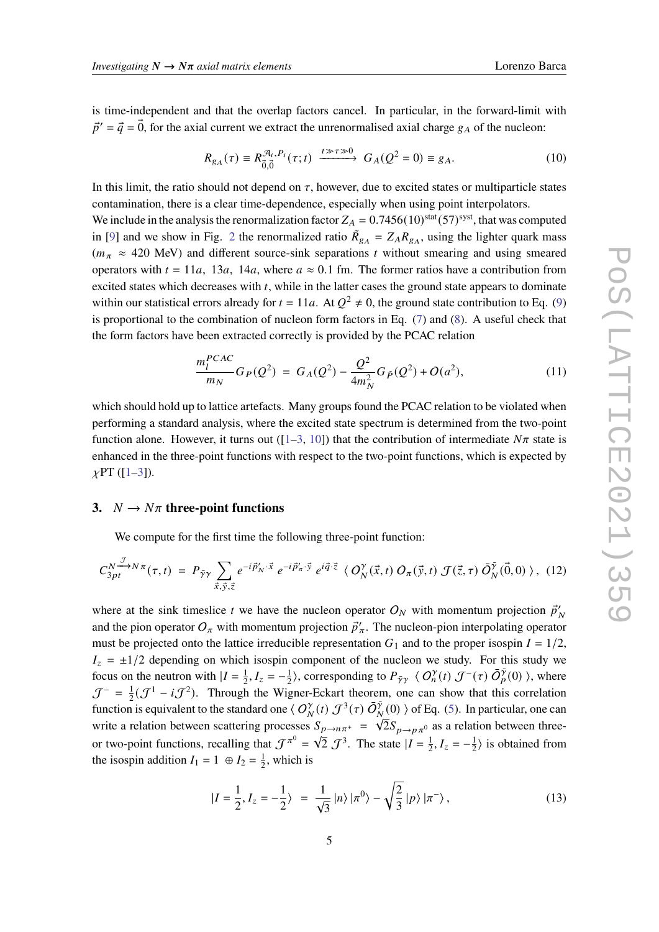is time-independent and that the overlap factors cancel. In particular, in the forward-limit with  $\vec{p}' = \vec{q} = \vec{0}$ , for the axial current we extract the unrenormalised axial charge  $g_A$  of the nucleon:

<span id="page-4-0"></span>
$$
R_{g_A}(\tau) \equiv R_{\vec{0},\vec{0}}^{\mathcal{A}_i,P_i}(\tau;t) \xrightarrow{t \gg \tau \gg 0} G_A(Q^2=0) \equiv g_A. \tag{10}
$$

In this limit, the ratio should not depend on  $\tau$ , however, due to excited states or multiparticle states contamination, there is a clear time-dependence, especially when using point interpolators.

We include in the analysis the renormalization factor  $Z_A = 0.7456(10)^{\text{stat}}(57)^{\text{syst}}$ , that was computed in [\[9\]](#page-8-8) and we show in Fig. [2](#page-3-2) the renormalized ratio  $\tilde{R}_{g_A} = Z_A R_{g_A}$ , using the lighter quark mass  $(m_{\pi} \approx 420 \text{ MeV})$  and different source-sink separations *t* without smearing and using smeared operators with  $t = 11a$ , 13a, 14a, where  $a \approx 0.1$  fm. The former ratios have a contribution from excited states which decreases with  $t$ , while in the latter cases the ground state appears to dominate within our statistical errors already for  $t = 11a$ . At  $Q^2 \neq 0$ , the ground state contribution to Eq. [\(9\)](#page-3-3) is proportional to the combination of nucleon form factors in Eq. [\(7\)](#page-3-4) and [\(8\)](#page-3-5). A useful check that the form factors have been extracted correctly is provided by the PCAC relation

$$
\frac{m_l^{PCAC}}{m_N}G_P(Q^2) = G_A(Q^2) - \frac{Q^2}{4m_N^2}G_{\tilde{P}}(Q^2) + O(a^2),\tag{11}
$$

which should hold up to lattice artefacts. Many groups found the PCAC relation to be violated when performing a standard analysis, where the excited state spectrum is determined from the two-point function alone. However, it turns out ([\[1–](#page-8-0)[3,](#page-8-2) [10\]](#page-8-9)) that the contribution of intermediate  $N\pi$  state is enhanced in the three-point functions with respect to the two-point functions, which is expected by  $\chi$ PT ([\[1](#page-8-0)[–3\]](#page-8-2)).

# **3.**  $N \rightarrow N\pi$  three-point functions

We compute for the first time the following three-point function:

$$
C_{3pt}^{N \xrightarrow{\mathcal{J}} N \pi}(\tau, t) = P_{\bar{\gamma}\gamma} \sum_{\vec{x}, \vec{y}, \vec{z}} e^{-i\vec{p}_{N}' \cdot \vec{x}} e^{-i\vec{p}_{\pi}' \cdot \vec{y}} e^{i\vec{q} \cdot \vec{z}} \langle O_{N}^{\gamma}(\vec{x}, t) O_{\pi}(\vec{y}, t) \mathcal{J}(\vec{z}, \tau) \bar{O}_{N}^{\bar{\gamma}}(\vec{0}, 0) \rangle, (12)
$$

where at the sink timeslice t we have the nucleon operator  $O_N$  with momentum projection  $\vec{p}'_N$ and the pion operator  $O_{\pi}$  with momentum projection  $\vec{p}'_{\pi}$ . The nucleon-pion interpolating operator must be projected onto the lattice irreducible representation  $G_1$  and to the proper isospin  $I = 1/2$ ,  $I_z = \pm 1/2$  depending on which isospin component of the nucleon we study. For this study we focus on the neutron with  $I = \frac{1}{2}$  $\frac{1}{2}, I_z = -\frac{1}{2}$  $\frac{1}{2}$ , corresponding to  $P_{\bar{\gamma}\gamma} \langle O_n^{\gamma}(t) \mathcal{J}^-(\tau) \overline{O}_p^{\bar{\gamma}}(0) \rangle$ , where  $\mathcal{J}^- = \frac{1}{2}$  $\frac{1}{2}(\mathcal{J}^1 - i\mathcal{J}^2)$ . Through the Wigner-Eckart theorem, one can show that this correlation function is equivalent to the standard one  $\langle O_N^{\gamma}(t) \, \mathcal{J}^3(\tau) \, \bar{O}_N^{\bar{\gamma}}(0) \, \rangle$  of Eq. [\(5\)](#page-3-6). In particular, one can write a relation between scattering processes  $S_{p\rightarrow n\pi^+} = \sqrt{2}S_{p\rightarrow p\pi^0}$  as a relation between threeor two-point functions, recalling that  $J^{\pi^0} = \sqrt{2} J^3$ . The state  $|I| = \frac{1}{2}$  $\frac{1}{2}, I_z = -\frac{1}{2}$  $\frac{1}{2}$  is obtained from the isospin addition  $I_1 = 1 \oplus I_2 = \frac{1}{2}$  $\frac{1}{2}$ , which is

<span id="page-4-1"></span>
$$
|I = \frac{1}{2}, I_z = -\frac{1}{2}\rangle = \frac{1}{\sqrt{3}} |n\rangle |\pi^0\rangle - \sqrt{\frac{2}{3}} |p\rangle |\pi^-\rangle, \qquad (13)
$$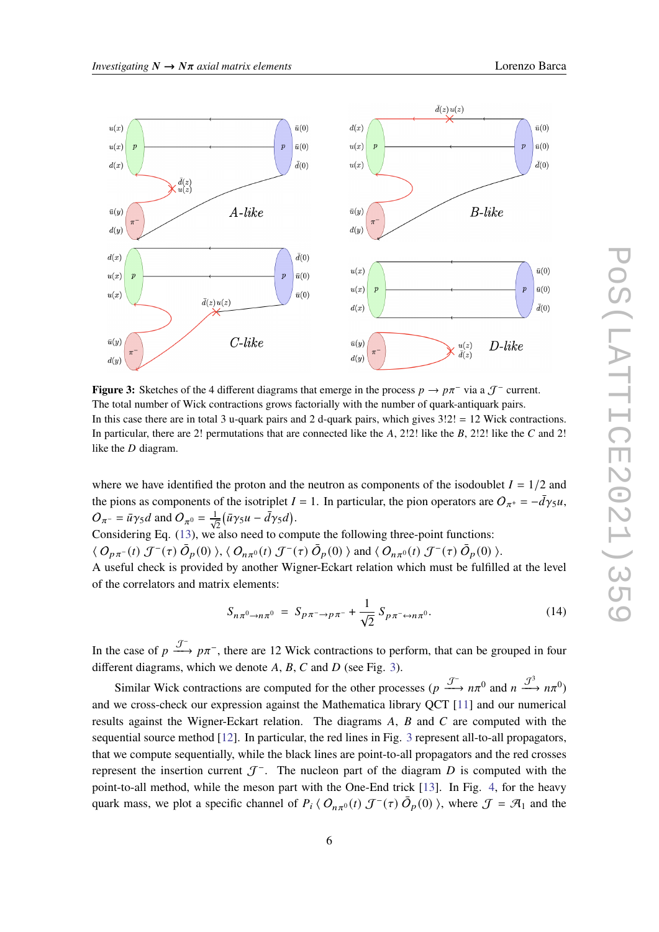

<span id="page-5-0"></span>

**Figure 3:** Sketches of the 4 different diagrams that emerge in the process  $p \to p\pi^-$  via a  $\mathcal{J}^-$  current. The total number of Wick contractions grows factorially with the number of quark-antiquark pairs. In this case there are in total 3 u-quark pairs and 2 d-quark pairs, which gives  $3!2! = 12$  Wick contractions. In particular, there are 2! permutations that are connected like the  $A$ , 2!2! like the  $B$ , 2!2! like the  $C$  and 2! like the  $D$  diagram.

where we have identified the proton and the neutron as components of the isodoublet  $I = 1/2$  and the pions as components of the isotriplet  $I = 1$ . In particular, the pion operators are  $O_{\pi^+} = -\overline{d}\gamma_5 u$ ,  $O_{\pi^-} = \bar{u}\gamma_5 d$  and  $O_{\pi^0} = \frac{1}{\sqrt{2}} (\bar{u}\gamma_5 u - \bar{d}\gamma_5 d)$ .

Considering Eq. [\(13\)](#page-4-1), we also need to compute the following three-point functions:

 $\langle O_{p\pi^{-}}(t) \mathcal{J}^{-}(\tau) \bar{O}_p(0) \rangle, \langle O_{n\pi^{0}}(t) \mathcal{J}^{-}(\tau) \bar{O}_p(0) \rangle$  and  $\langle O_{n\pi^{0}}(t) \mathcal{J}^{-}(\tau) \bar{O}_p(0) \rangle$ .

A useful check is provided by another Wigner-Eckart relation which must be fulfilled at the level of the correlators and matrix elements:

$$
S_{n\pi^{0}\to n\pi^{0}} = S_{p\pi^{-}\to p\pi^{-}} + \frac{1}{\sqrt{2}} S_{p\pi^{-}\leftrightarrow n\pi^{0}}.
$$
 (14)

In the case of  $p \stackrel{\mathcal{J}^-}{\longrightarrow} p\pi^-$ , there are 12 Wick contractions to perform, that can be grouped in four different diagrams, which we denote  $A$ ,  $B$ ,  $C$  and  $D$  (see Fig. [3\)](#page-5-0).

Similar Wick contractions are computed for the other processes ( $p \xrightarrow{\mathcal{J}^-} n\pi^0$  and  $n \xrightarrow{\mathcal{J}^3} n\pi^0$ ) and we cross-check our expression against the Mathematica library QCT [\[11\]](#page-8-10) and our numerical results against the Wigner-Eckart relation. The diagrams  $A$ ,  $B$  and  $C$  are computed with the sequential source method [\[12\]](#page-8-11). In particular, the red lines in Fig. [3](#page-5-0) represent all-to-all propagators, that we compute sequentially, while the black lines are point-to-all propagators and the red crosses represent the insertion current  $\mathcal{T}^-$ . The nucleon part of the diagram D is computed with the point-to-all method, while the meson part with the One-End trick [\[13\]](#page-8-12). In Fig. [4,](#page-6-0) for the heavy quark mass, we plot a specific channel of  $P_i \langle O_{n\pi^0}(t) \mathcal{J}^-(\tau) \bar{O}_p(0) \rangle$ , where  $\mathcal{J} = \mathcal{A}_1$  and the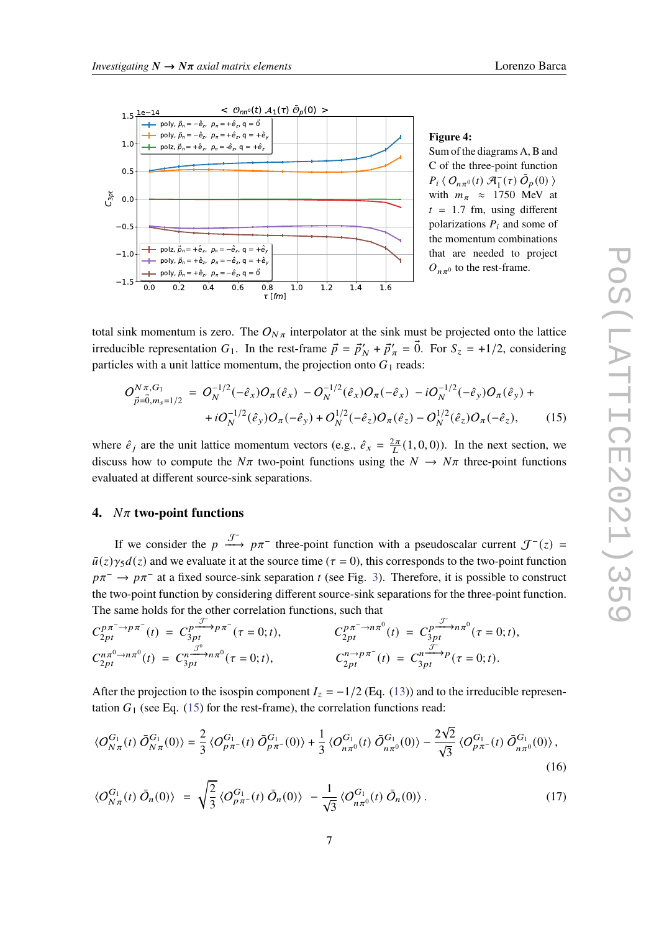<span id="page-6-0"></span>

#### **Figure 4:**

<span id="page-6-1"></span>Sum of the diagrams A, B and C of the three-point function  $P_i\, \langle\, O_{n\pi^0}(t)\, \mathcal{A}^-_1(\tau)\, \bar O_p(0)\, \rangle$ with  $m_\pi \approx 1750$  MeV at  $t = 1.7$  fm, using different polarizations  $P_i$  and some of the momentum combinations that are needed to project  $O_{n\pi^0}$  to the rest-frame.

total sink momentum is zero. The  $O_{N_{\pi}}$  interpolator at the sink must be projected onto the lattice irreducible representation  $G_1$ . In the rest-frame  $\vec{p} = \vec{p}'_N + \vec{p}'_n = \vec{0}$ . For  $S_z = +1/2$ , considering particles with a unit lattice momentum, the projection onto  $G_1$  reads:

$$
O_{\vec{p}=\vec{0},m_s=1/2}^{N\pi,G_1} = O_N^{-1/2}(-\hat{e}_x)O_\pi(\hat{e}_x) - O_N^{-1/2}(\hat{e}_x)O_\pi(-\hat{e}_x) - iO_N^{-1/2}(-\hat{e}_y)O_\pi(\hat{e}_y) ++ iO_N^{-1/2}(\hat{e}_y)O_\pi(-\hat{e}_y) + O_N^{1/2}(-\hat{e}_z)O_\pi(\hat{e}_z) - O_N^{1/2}(\hat{e}_z)O_\pi(-\hat{e}_z),
$$
(15)

where  $\hat{e}_j$  are the unit lattice momentum vectors (e.g.,  $\hat{e}_x = \frac{2\pi}{L}(1,0,0)$ ). In the next section, we discuss how to compute the  $N\pi$  two-point functions using the  $N \to N\pi$  three-point functions evaluated at different source-sink separations.

#### **4.**  $N\pi$  two-point functions

If we consider the  $p \stackrel{\mathcal{T}}{\longrightarrow} p\pi^-$  three-point function with a pseudoscalar current  $\mathcal{T}^{-}(z) =$  $\bar{u}(z)\gamma_5d(z)$  and we evaluate it at the source time ( $\tau = 0$ ), this corresponds to the two-point function  $p\pi^{-} \rightarrow p\pi^{-}$  at a fixed source-sink separation *t* (see Fig. [3\)](#page-5-0). Therefore, it is possible to construct the two-point function by considering different source-sink separations for the three-point function. The same holds for the other correlation functions, such that

$$
C_{2pt}^{p\pi^{-} \to p\pi^{-}}(t) = C_{3pt}^{p\pi^{-} \to p\pi^{-}}(\tau = 0; t), \qquad C_{2pt}^{p\pi^{-} \to n\pi^{0}}(t) = C_{3pt}^{p\pi^{-} \to n\pi^{0}}(\tau = 0; t),
$$
  
\n
$$
C_{2pt}^{n\pi^{0} \to n\pi^{0}}(t) = C_{3pt}^{n\pi^{0} \to n\pi^{0}}(\tau = 0; t), \qquad C_{2pt}^{n\to p\pi^{-}}(t) = C_{3pt}^{n\pi^{0} \to p\pi^{-}}(\tau = 0; t).
$$

After the projection to the isospin component  $I_z = -1/2$  (Eq. [\(13\)](#page-4-1)) and to the irreducible representation  $G_1$  (see Eq. [\(15\)](#page-6-1) for the rest-frame), the correlation functions read:

$$
\langle O_{N\pi}^{G_1}(t) \bar{O}_{N\pi}^{G_1}(0) \rangle = \frac{2}{3} \langle O_{p\pi^-}^{G_1}(t) \bar{O}_{p\pi^-}^{G_1}(0) \rangle + \frac{1}{3} \langle O_{n\pi^0}^{G_1}(t) \bar{O}_{n\pi^0}^{G_1}(0) \rangle - \frac{2\sqrt{2}}{\sqrt{3}} \langle O_{p\pi^-}^{G_1}(t) \bar{O}_{n\pi^0}^{G_1}(0) \rangle, \tag{16}
$$

$$
\langle O_{N\pi}^{G_1}(t) \bar{O}_n(0) \rangle = \sqrt{\frac{2}{3}} \langle O_{p\pi^-}^{G_1}(t) \bar{O}_n(0) \rangle - \frac{1}{\sqrt{3}} \langle O_{n\pi^0}^{G_1}(t) \bar{O}_n(0) \rangle. \tag{17}
$$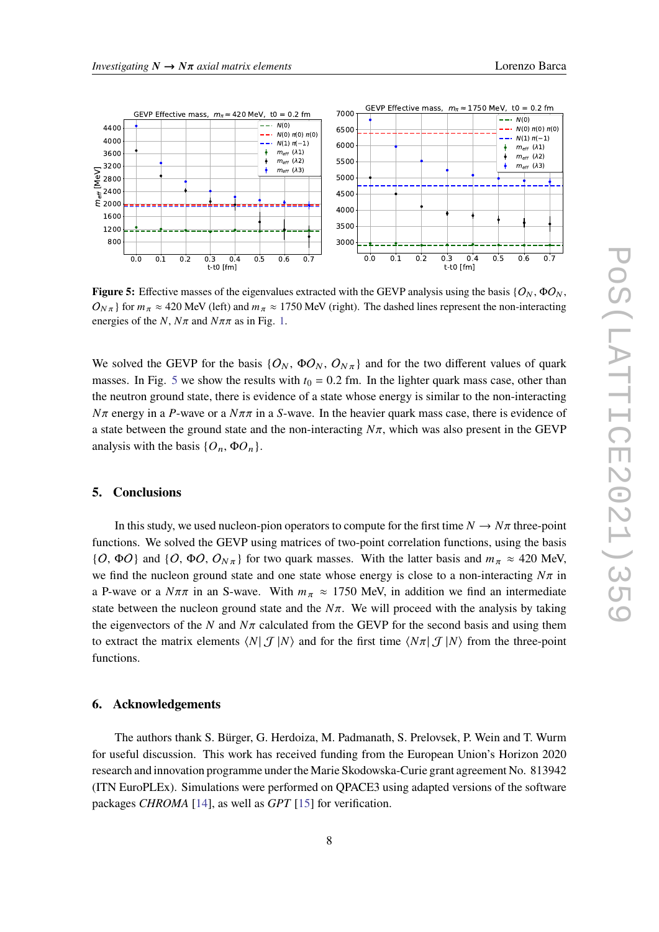<span id="page-7-0"></span>

**Figure 5:** Effective masses of the eigenvalues extracted with the GEVP analysis using the basis  $\{O_N, \Phi O_N, \Phi^2\}$  $O_{N\pi}$  for  $m_{\pi} \approx 420$  MeV (left) and  $m_{\pi} \approx 1750$  MeV (right). The dashed lines represent the non-interacting energies of the N,  $N\pi$  and  $N\pi\pi$  as in Fig. [1.](#page-2-0)

We solved the GEVP for the basis  $\{O_N, \Phi O_N, O_{N,\pi}\}\$  and for the two different values of quark masses. In Fig. [5](#page-7-0) we show the results with  $t_0 = 0.2$  fm. In the lighter quark mass case, other than the neutron ground state, there is evidence of a state whose energy is similar to the non-interacting  $N\pi$  energy in a P-wave or a  $N\pi\pi$  in a S-wave. In the heavier quark mass case, there is evidence of a state between the ground state and the non-interacting  $N\pi$ , which was also present in the GEVP analysis with the basis  $\{O_n, \Phi O_n\}.$ 

# **5. Conclusions**

In this study, we used nucleon-pion operators to compute for the first time  $N \to N\pi$  three-point functions. We solved the GEVP using matrices of two-point correlation functions, using the basis {O,  $\Phi$ O} and {O,  $\Phi$ O,  $O_{N\pi}$ } for two quark masses. With the latter basis and  $m_{\pi} \approx 420$  MeV, we find the nucleon ground state and one state whose energy is close to a non-interacting  $N\pi$  in a P-wave or a  $N\pi\pi$  in an S-wave. With  $m_{\pi} \approx 1750$  MeV, in addition we find an intermediate state between the nucleon ground state and the  $N\pi$ . We will proceed with the analysis by taking the eigenvectors of the N and  $N\pi$  calculated from the GEVP for the second basis and using them to extract the matrix elements  $\langle N| \mathcal{J} |N \rangle$  and for the first time  $\langle N \pi | \mathcal{J} |N \rangle$  from the three-point functions.

#### **6. Acknowledgements**

The authors thank S. Bürger, G. Herdoiza, M. Padmanath, S. Prelovsek, P. Wein and T. Wurm for useful discussion. This work has received funding from the European Union's Horizon 2020 research and innovation programme under the Marie Skodowska-Curie grant agreement No. 813942 (ITN EuroPLEx). Simulations were performed on QPACE3 using adapted versions of the software packages *CHROMA* [\[14\]](#page-8-13), as well as *GPT* [\[15\]](#page-8-14) for verification.